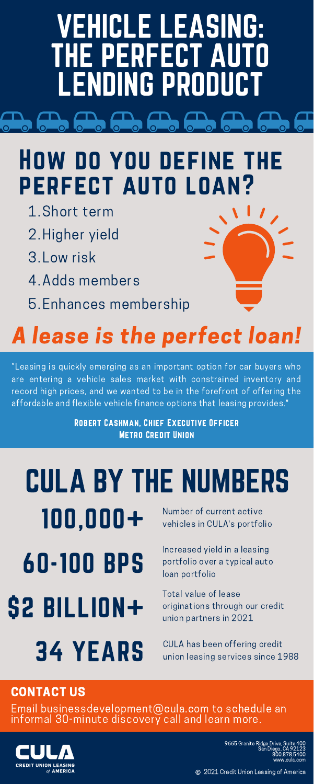9665 Granite Ridge Drive, Suite 400 San Diego, CA 92123 800.878.5400 www.cula.com

2021 Credit Union Leasing of America

### A lease is the perfect loan!

- 1. Short term
- 2. Higher vield
- 3. Low risk
- 4. Adds members
- Enhances membership 5.

# VEHICLE LEASING: THE PERFECT AUTO LENDING PRODUCT

Increased yield in a leasing 60 - 100 BPS portfolio over a typical auto

#### How do you define the perfect auto loan?

Number of current active CULA BY THE NUMBERS

100,000+ Number of current active

\$2 BILLION+

Total value of lease originations through our credit union partners in 2021

34 YEARS

CULA has been offering credit union leasing services since 1988

"Leasing is quickly emerging as an important option for car buyers who are entering a vehicle sales market with constrained inventory and record high prices, and we wanted to be in the forefront of offering the affordable and flexible vehicle finance options that leasing provides."

> Robert Cashman, Chief Executive Officer Metro Credit Union

#### CONTACT US

Email businessdevelopment@cula.com to schedule an informal 30-minute discovery call and learn more.